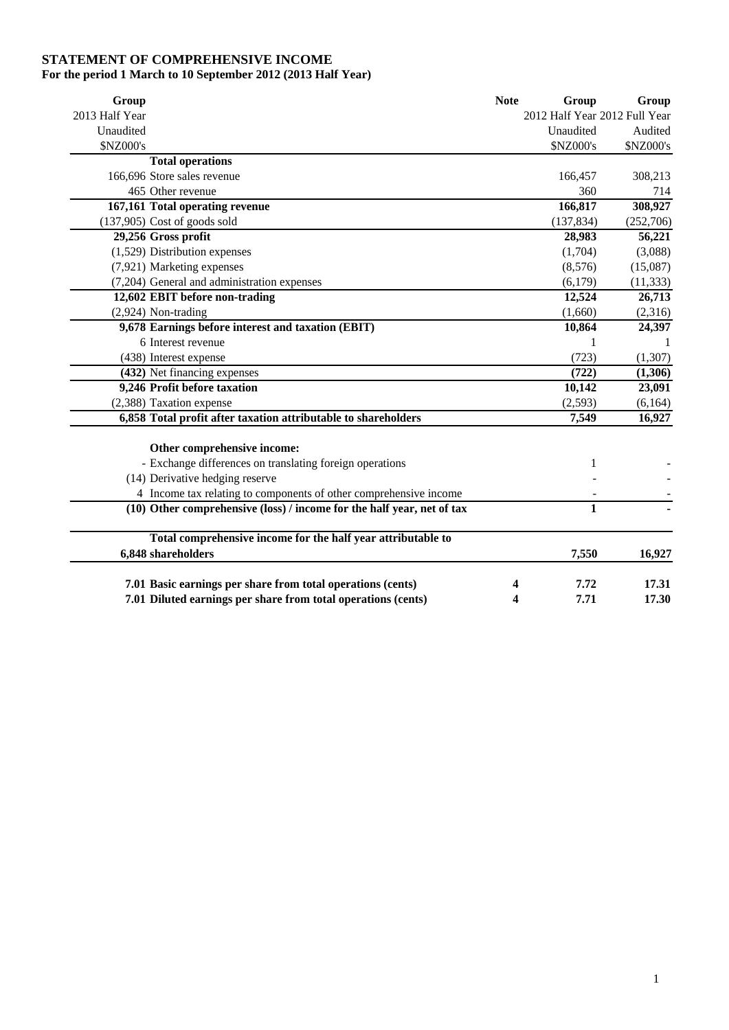## **STATEMENT OF COMPREHENSIVE INCOME For the period 1 March to 10 September 2012 (2013 Half Year)**

| Group          |                                                                        | <b>Note</b> | Group                         | Group     |
|----------------|------------------------------------------------------------------------|-------------|-------------------------------|-----------|
| 2013 Half Year |                                                                        |             | 2012 Half Year 2012 Full Year |           |
| Unaudited      |                                                                        |             | Unaudited                     | Audited   |
| \$NZ000's      |                                                                        |             | \$NZ000's                     | \$NZ000's |
|                | <b>Total operations</b>                                                |             |                               |           |
|                | 166,696 Store sales revenue                                            |             | 166,457                       | 308,213   |
|                | 465 Other revenue                                                      |             | 360                           | 714       |
|                | 167,161 Total operating revenue                                        |             | 166,817                       | 308,927   |
|                | $(137,905)$ Cost of goods sold                                         |             | (137, 834)                    | (252,706) |
|                | 29,256 Gross profit                                                    |             | 28,983                        | 56,221    |
|                | $(1,529)$ Distribution expenses                                        |             | (1,704)                       | (3,088)   |
|                | (7,921) Marketing expenses                                             |             | (8,576)                       | (15,087)  |
|                | (7,204) General and administration expenses                            |             | (6,179)                       | (11, 333) |
|                | 12,602 EBIT before non-trading                                         |             | 12,524                        | 26,713    |
|                | $(2,924)$ Non-trading                                                  |             | (1,660)                       | (2,316)   |
|                | 9,678 Earnings before interest and taxation (EBIT)                     |             | 10,864                        | 24,397    |
|                | 6 Interest revenue                                                     |             |                               | 1         |
|                | (438) Interest expense                                                 |             | (723)                         | (1,307)   |
|                | (432) Net financing expenses                                           |             | (722)                         | (1,306)   |
|                | 9,246 Profit before taxation                                           |             | 10,142                        | 23,091    |
|                | (2,388) Taxation expense                                               |             | (2, 593)                      | (6,164)   |
|                | 6,858 Total profit after taxation attributable to shareholders         |             | 7,549                         | 16,927    |
|                | Other comprehensive income:                                            |             |                               |           |
|                | - Exchange differences on translating foreign operations               |             | 1                             |           |
|                | (14) Derivative hedging reserve                                        |             |                               |           |
|                | 4 Income tax relating to components of other comprehensive income      |             |                               |           |
|                | (10) Other comprehensive (loss) / income for the half year, net of tax |             | 1                             |           |
|                | Total comprehensive income for the half year attributable to           |             |                               |           |
|                | 6,848 shareholders                                                     |             | 7,550                         | 16,927    |
|                | 7.01 Basic earnings per share from total operations (cents)            | 4           | 7.72                          | 17.31     |
|                | 7.01 Diluted earnings per share from total operations (cents)          | 4           | 7.71                          | 17.30     |
|                |                                                                        |             |                               |           |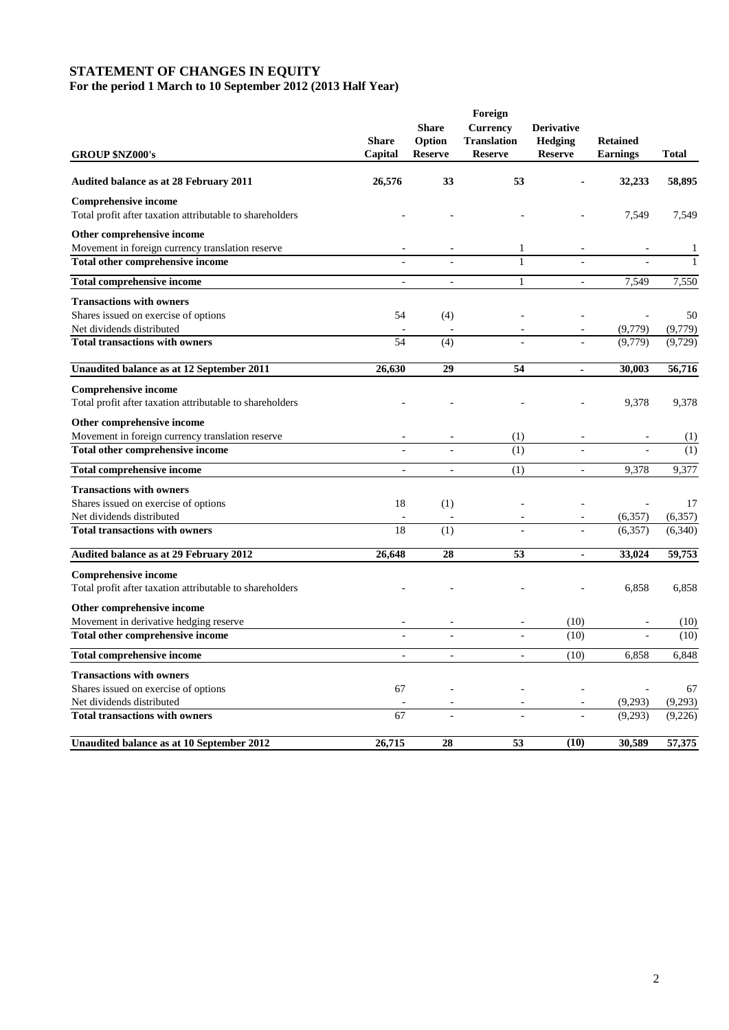#### **STATEMENT OF CHANGES IN EQUITY For the period 1 March to 10 September 2012 (2013 Half Year)**

|                                                          | Foreign        |                        |                                       |                                     |                 |              |
|----------------------------------------------------------|----------------|------------------------|---------------------------------------|-------------------------------------|-----------------|--------------|
|                                                          | <b>Share</b>   | <b>Share</b><br>Option | <b>Currency</b><br><b>Translation</b> | <b>Derivative</b><br><b>Hedging</b> | <b>Retained</b> |              |
| <b>GROUP \$NZ000's</b>                                   | Capital        | <b>Reserve</b>         | <b>Reserve</b>                        | <b>Reserve</b>                      | <b>Earnings</b> | <b>Total</b> |
| <b>Audited balance as at 28 February 2011</b>            | 26,576         | 33                     | 53                                    |                                     | 32,233          | 58,895       |
| <b>Comprehensive income</b>                              |                |                        |                                       |                                     |                 |              |
| Total profit after taxation attributable to shareholders |                |                        |                                       |                                     | 7,549           | 7,549        |
| Other comprehensive income                               |                |                        |                                       |                                     |                 |              |
| Movement in foreign currency translation reserve         |                |                        | 1                                     |                                     |                 |              |
| Total other comprehensive income                         |                |                        | $\mathbf{1}$                          |                                     |                 |              |
| <b>Total comprehensive income</b>                        | $\overline{a}$ | $\overline{a}$         | $\mathbf{1}$                          | $\overline{a}$                      | 7,549           | 7,550        |
| <b>Transactions with owners</b>                          |                |                        |                                       |                                     |                 |              |
| Shares issued on exercise of options                     | 54             | (4)                    |                                       |                                     |                 | 50           |
| Net dividends distributed                                |                |                        |                                       |                                     | (9,779)         | (9,779)      |
| <b>Total transactions with owners</b>                    | 54             | (4)                    |                                       |                                     | (9.779)         | (9,729)      |
| Unaudited balance as at 12 September 2011                | 26,630         | 29                     | 54                                    | $\blacksquare$                      | 30,003          | 56,716       |
| <b>Comprehensive income</b>                              |                |                        |                                       |                                     |                 |              |
| Total profit after taxation attributable to shareholders |                |                        |                                       |                                     | 9,378           | 9,378        |
| Other comprehensive income                               |                |                        |                                       |                                     |                 |              |
| Movement in foreign currency translation reserve         |                |                        | (1)                                   |                                     |                 | (1)          |
| Total other comprehensive income                         |                |                        | (1)                                   |                                     |                 | (1)          |
| <b>Total comprehensive income</b>                        | ÷.             | $\sim$                 | (1)                                   | $\sim$                              | 9,378           | 9,377        |
| <b>Transactions with owners</b>                          |                |                        |                                       |                                     |                 |              |
| Shares issued on exercise of options                     | 18             | (1)                    |                                       |                                     |                 | 17           |
| Net dividends distributed                                |                |                        |                                       |                                     | (6,357)         | (6,357)      |
| <b>Total transactions with owners</b>                    | 18             | (1)                    |                                       |                                     | (6, 357)        | (6, 340)     |
| Audited balance as at 29 February 2012                   | 26,648         | 28                     | 53                                    | ä,                                  | 33,024          | 59,753       |
| <b>Comprehensive income</b>                              |                |                        |                                       |                                     |                 |              |
| Total profit after taxation attributable to shareholders |                |                        |                                       |                                     | 6,858           | 6,858        |
| Other comprehensive income                               |                |                        |                                       |                                     |                 |              |
| Movement in derivative hedging reserve                   |                |                        |                                       | (10)                                |                 | (10)         |
| Total other comprehensive income                         |                |                        |                                       | (10)                                |                 | (10)         |
| <b>Total comprehensive income</b>                        | $\sim$         | $\sim$                 | $\overline{a}$                        | (10)                                | 6,858           | 6,848        |
| <b>Transactions with owners</b>                          |                |                        |                                       |                                     |                 |              |
| Shares issued on exercise of options                     | 67             |                        |                                       |                                     |                 | 67           |
| Net dividends distributed                                |                |                        |                                       |                                     | (9,293)         | (9,293)      |
| <b>Total transactions with owners</b>                    | 67             |                        |                                       |                                     | (9,293)         | (9,226)      |
| Unaudited balance as at 10 September 2012                | 26,715         | 28                     | 53                                    | (10)                                | 30,589          | 57,375       |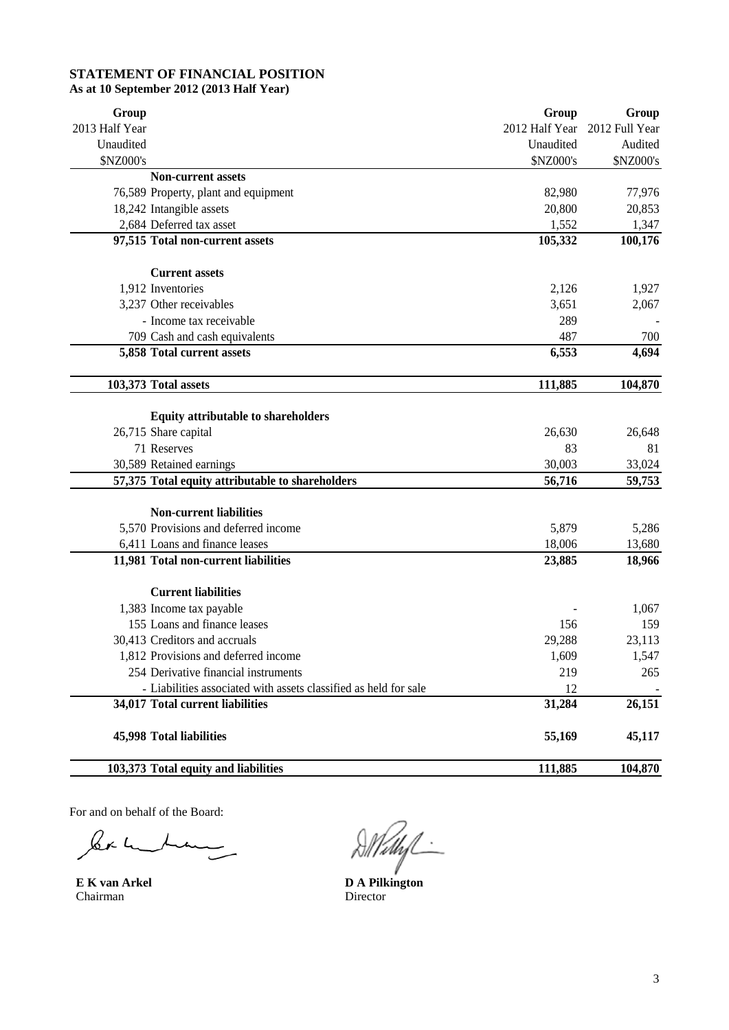### **STATEMENT OF FINANCIAL POSITION As at 10 September 2012 (2013 Half Year)**

| Group                                                            | Group                         | Group     |
|------------------------------------------------------------------|-------------------------------|-----------|
| 2013 Half Year                                                   | 2012 Half Year 2012 Full Year |           |
| Unaudited                                                        | Unaudited                     | Audited   |
| \$NZ000's                                                        | \$NZ000's                     | \$NZ000's |
| <b>Non-current assets</b>                                        |                               |           |
| 76,589 Property, plant and equipment                             | 82,980                        | 77,976    |
| 18,242 Intangible assets                                         | 20,800                        | 20,853    |
| 2,684 Deferred tax asset                                         | 1,552                         | 1,347     |
| 97,515 Total non-current assets                                  | 105,332                       | 100,176   |
| <b>Current assets</b>                                            |                               |           |
| 1,912 Inventories                                                | 2,126                         | 1,927     |
| 3,237 Other receivables                                          | 3,651                         | 2,067     |
| - Income tax receivable                                          | 289                           |           |
| 709 Cash and cash equivalents                                    | 487                           | 700       |
| 5,858 Total current assets                                       | 6,553                         | 4,694     |
| 103,373 Total assets                                             | 111,885                       | 104,870   |
| <b>Equity attributable to shareholders</b>                       |                               |           |
| 26,715 Share capital                                             | 26,630                        | 26,648    |
| 71 Reserves                                                      | 83                            | 81        |
| 30,589 Retained earnings                                         | 30,003                        | 33,024    |
| 57,375 Total equity attributable to shareholders                 | 56,716                        | 59,753    |
| <b>Non-current liabilities</b>                                   |                               |           |
| 5,570 Provisions and deferred income                             | 5,879                         | 5,286     |
| 6,411 Loans and finance leases                                   | 18,006                        | 13,680    |
| 11,981 Total non-current liabilities                             | 23,885                        | 18,966    |
| <b>Current liabilities</b>                                       |                               |           |
| 1,383 Income tax payable                                         |                               | 1,067     |
| 155 Loans and finance leases                                     | 156                           | 159       |
| 30,413 Creditors and accruals                                    | 29,288                        | 23,113    |
| 1,812 Provisions and deferred income                             | 1,609                         | 1,547     |
| 254 Derivative financial instruments                             | 219                           | 265       |
| - Liabilities associated with assets classified as held for sale | 12                            |           |
| 34,017 Total current liabilities                                 | 31,284                        | 26,151    |
| 45,998 Total liabilities                                         | 55,169                        | 45,117    |
| 103,373 Total equity and liabilities                             | 111,885                       | 104,870   |

For and on behalf of the Board:

ler under

Chairman Director

**E K van Arkel D A Pilkington**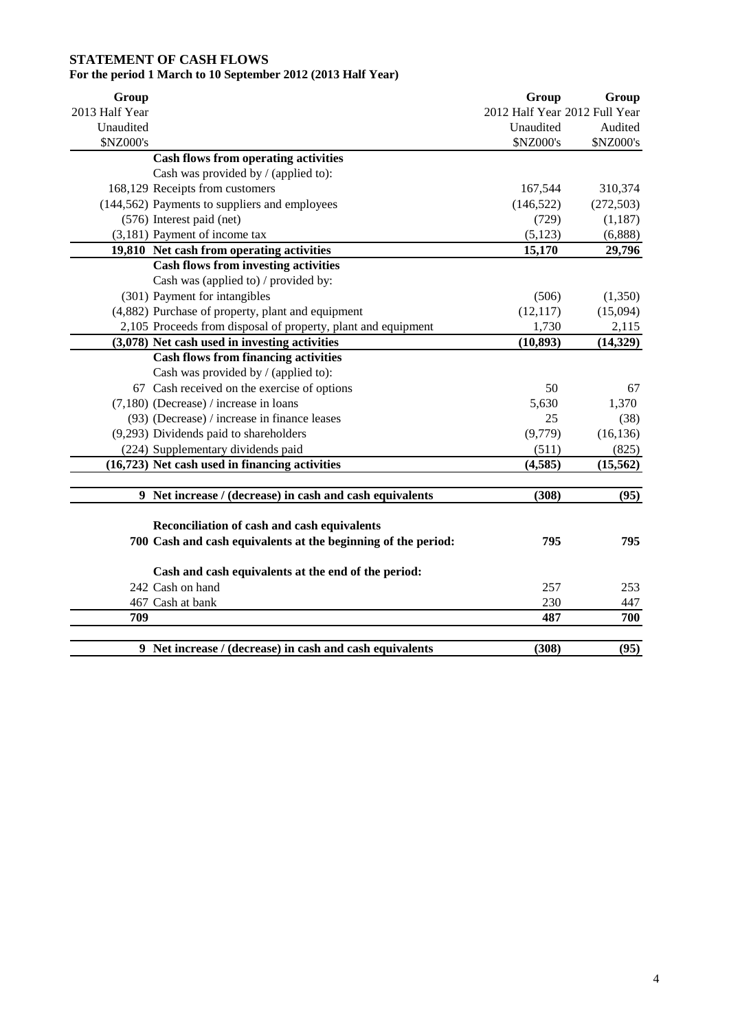# **STATEMENT OF CASH FLOWS**

# **For the period 1 March to 10 September 2012 (2013 Half Year)**

| Group          |                                                               | Group                         | Group      |
|----------------|---------------------------------------------------------------|-------------------------------|------------|
| 2013 Half Year |                                                               | 2012 Half Year 2012 Full Year |            |
| Unaudited      |                                                               | Unaudited                     | Audited    |
| \$NZ000's      |                                                               | \$NZ000's                     | \$NZ000's  |
|                | <b>Cash flows from operating activities</b>                   |                               |            |
|                | Cash was provided by / (applied to):                          |                               |            |
|                | 168,129 Receipts from customers                               | 167,544                       | 310,374    |
|                | (144,562) Payments to suppliers and employees                 | (146, 522)                    | (272, 503) |
|                | (576) Interest paid (net)                                     | (729)                         | (1, 187)   |
|                | (3,181) Payment of income tax                                 | (5, 123)                      | (6,888)    |
|                | 19,810 Net cash from operating activities                     | 15,170                        | 29,796     |
|                | <b>Cash flows from investing activities</b>                   |                               |            |
|                | Cash was (applied to) / provided by:                          |                               |            |
|                | (301) Payment for intangibles                                 | (506)                         | (1,350)    |
|                | (4,882) Purchase of property, plant and equipment             | (12, 117)                     | (15,094)   |
|                | 2,105 Proceeds from disposal of property, plant and equipment | 1,730                         | 2,115      |
|                | (3,078) Net cash used in investing activities                 | (10, 893)                     | (14, 329)  |
|                | <b>Cash flows from financing activities</b>                   |                               |            |
|                | Cash was provided by / (applied to):                          |                               |            |
|                | 67 Cash received on the exercise of options                   | 50                            | 67         |
|                | $(7,180)$ (Decrease) / increase in loans                      | 5,630                         | 1,370      |
|                | (93) (Decrease) / increase in finance leases                  | 25                            | (38)       |
|                | (9,293) Dividends paid to shareholders                        | (9,779)                       | (16, 136)  |
|                | (224) Supplementary dividends paid                            | (511)                         | (825)      |
|                | (16,723) Net cash used in financing activities                | (4,585)                       | (15, 562)  |
|                |                                                               |                               |            |
|                | 9 Net increase / (decrease) in cash and cash equivalents      | (308)                         | (95)       |
|                | Reconciliation of cash and cash equivalents                   |                               |            |
|                |                                                               | 795                           | 795        |
|                | 700 Cash and cash equivalents at the beginning of the period: |                               |            |
|                | Cash and cash equivalents at the end of the period:           |                               |            |
|                | 242 Cash on hand                                              | 257                           | 253        |
|                | 467 Cash at bank                                              | 230                           | 447        |
| 709            |                                                               | 487                           | 700        |
|                |                                                               |                               |            |
|                | 9 Net increase / (decrease) in cash and cash equivalents      | (308)                         | (95)       |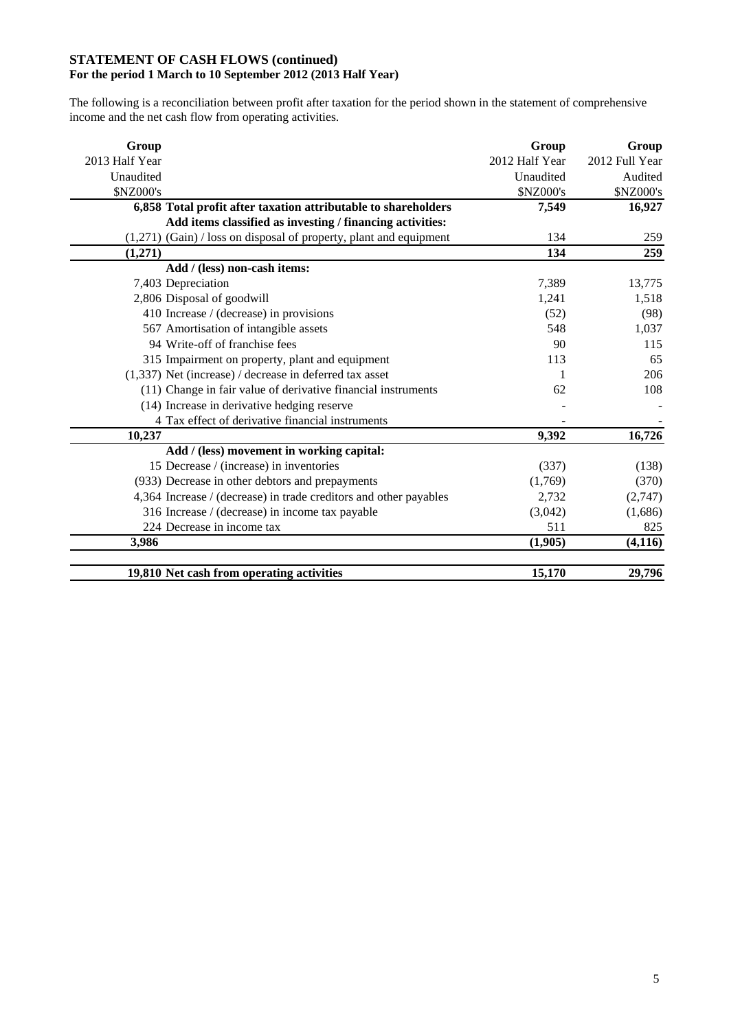### **STATEMENT OF CASH FLOWS (continued) For the period 1 March to 10 September 2012 (2013 Half Year)**

The following is a reconciliation between profit after taxation for the period shown in the statement of comprehensive income and the net cash flow from operating activities.

| Group                                                              | Group          | Group          |
|--------------------------------------------------------------------|----------------|----------------|
| 2013 Half Year                                                     | 2012 Half Year | 2012 Full Year |
| Unaudited                                                          | Unaudited      | Audited        |
| \$NZ000's                                                          | \$NZ000's      | \$NZ000's      |
| 6,858 Total profit after taxation attributable to shareholders     | 7,549          | 16,927         |
| Add items classified as investing / financing activities:          |                |                |
| (1,271) (Gain) / loss on disposal of property, plant and equipment | 134            | 259            |
| (1,271)                                                            | 134            | 259            |
| Add / (less) non-cash items:                                       |                |                |
| 7,403 Depreciation                                                 | 7,389          | 13,775         |
| 2,806 Disposal of goodwill                                         | 1,241          | 1,518          |
| 410 Increase / (decrease) in provisions                            | (52)           | (98)           |
| 567 Amortisation of intangible assets                              | 548            | 1,037          |
| 94 Write-off of franchise fees                                     | 90             | 115            |
| 315 Impairment on property, plant and equipment                    | 113            | 65             |
| $(1,337)$ Net (increase) / decrease in deferred tax asset          | 1              | 206            |
| (11) Change in fair value of derivative financial instruments      | 62             | 108            |
| (14) Increase in derivative hedging reserve                        |                |                |
| 4 Tax effect of derivative financial instruments                   |                |                |
| 10,237                                                             | 9,392          | 16,726         |
| Add / (less) movement in working capital:                          |                |                |
| 15 Decrease / (increase) in inventories                            | (337)          | (138)          |
| (933) Decrease in other debtors and prepayments                    | (1,769)        | (370)          |
| 4,364 Increase / (decrease) in trade creditors and other payables  | 2,732          | (2,747)        |
| 316 Increase / (decrease) in income tax payable                    | (3,042)        | (1,686)        |
| 224 Decrease in income tax                                         | 511            | 825            |
| 3,986                                                              | (1,905)        | (4, 116)       |
| 19,810 Net cash from operating activities                          | 15,170         | 29,796         |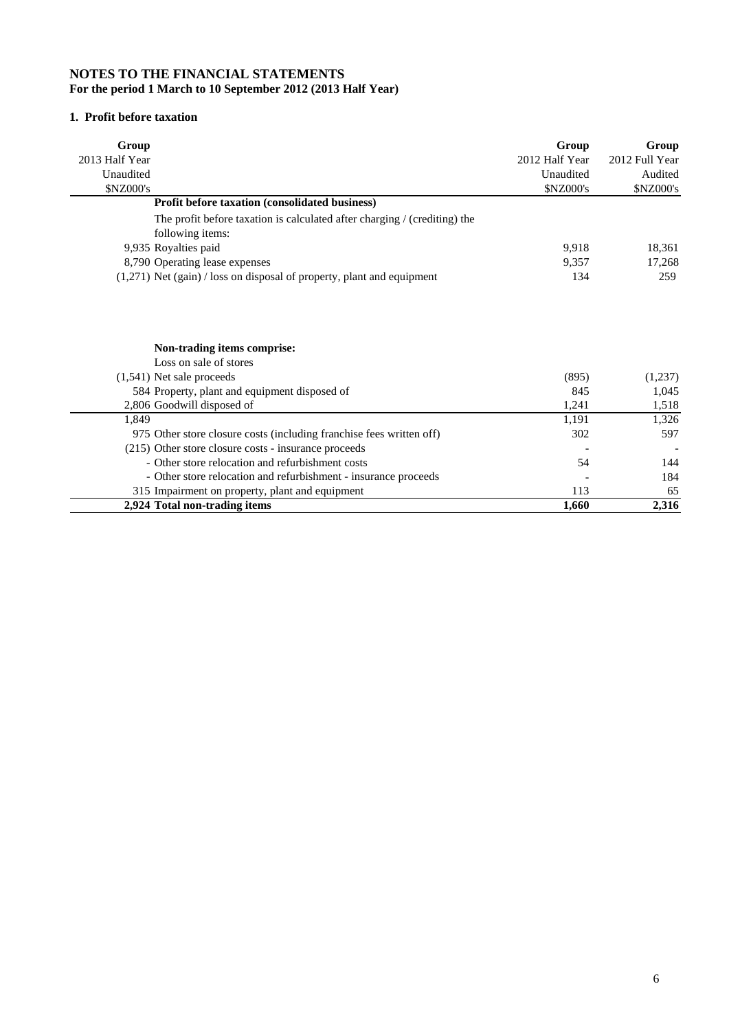#### **NOTES TO THE FINANCIAL STATEMENTS For the period 1 March to 10 September 2012 (2013 Half Year)**

# **1. Profit before taxation**

| Group                                                                      | Group            | Group          |
|----------------------------------------------------------------------------|------------------|----------------|
| 2013 Half Year                                                             | 2012 Half Year   | 2012 Full Year |
| Unaudited                                                                  | Unaudited        | Audited        |
| <b>\$NZ000's</b>                                                           | <b>\$NZ000's</b> | \$NZ000's      |
| <b>Profit before taxation (consolidated business)</b>                      |                  |                |
| The profit before taxation is calculated after charging / (crediting) the  |                  |                |
| following items:                                                           |                  |                |
| 9,935 Royalties paid                                                       | 9,918            | 18,361         |
| 8,790 Operating lease expenses                                             | 9,357            | 17,268         |
| $(1,271)$ Net $(gain)$ / loss on disposal of property, plant and equipment | 134              | 259            |
| Non-trading items comprise:                                                |                  |                |
| Loss on sale of stores                                                     |                  |                |
| $(1,541)$ Net sale proceeds                                                | (895)            | (1,237)        |
| 584 Property, plant and equipment disposed of                              | 845              | 1,045          |
| 2,806 Goodwill disposed of                                                 | 1,241            | 1,518          |
| 1.849                                                                      | 1,191            | 1,326          |
| 975 Other store closure costs (including franchise fees written off)       | 302              | 597            |
| (215) Other store closure costs - insurance proceeds                       |                  |                |
| - Other store relocation and refurbishment costs                           | 54               | 144            |
| - Other store relocation and refurbishment - insurance proceeds            |                  | 184            |
| 315 Impairment on property, plant and equipment                            | 113              | 65             |
| 2,924 Total non-trading items                                              | 1,660            | 2,316          |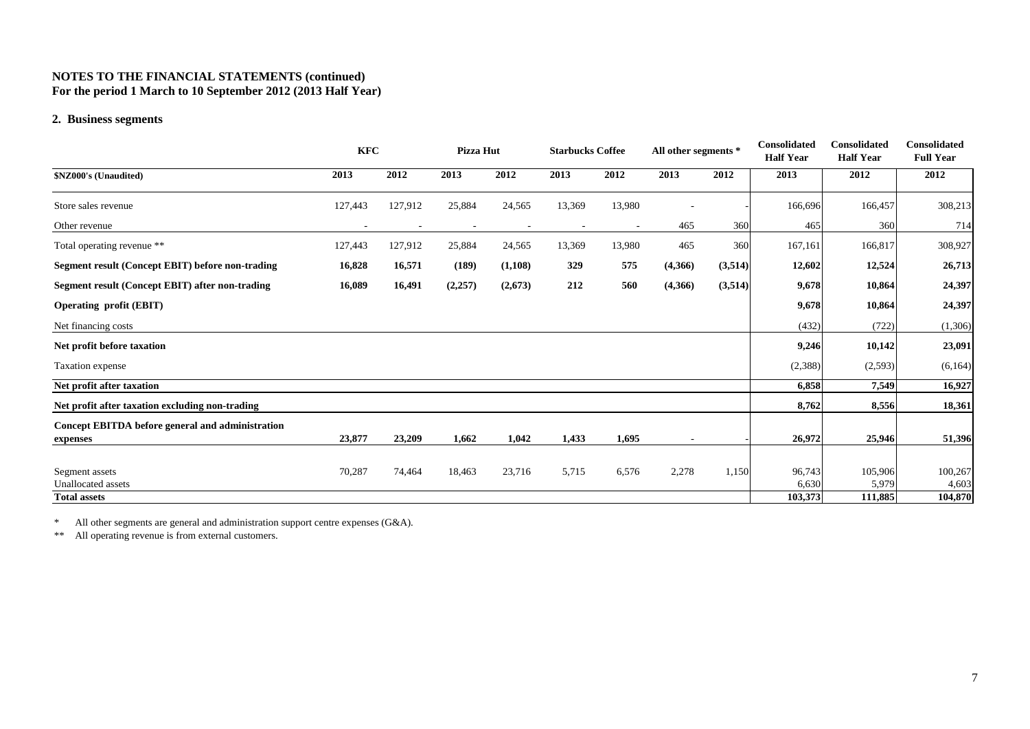#### **NOTES TO THE FINANCIAL STATEMENTS (continued) For the period 1 March to 10 September 2012 (2013 Half Year)**

#### **2. Business segments**

|                                                              | <b>KFC</b> |         | Pizza Hut |         | <b>Starbucks Coffee</b> |        | All other segments * |         | <b>Consolidated</b><br><b>Half Year</b> | Consolidated<br><b>Half Year</b> | <b>Consolidated</b><br><b>Full Year</b> |
|--------------------------------------------------------------|------------|---------|-----------|---------|-------------------------|--------|----------------------|---------|-----------------------------------------|----------------------------------|-----------------------------------------|
| \$NZ000's (Unaudited)                                        | 2013       | 2012    | 2013      | 2012    | 2013                    | 2012   | 2013                 | 2012    | 2013                                    | 2012                             | 2012                                    |
| Store sales revenue                                          | 127,443    | 127,912 | 25,884    | 24,565  | 13,369                  | 13,980 |                      |         | 166,696                                 | 166,457                          | 308,213                                 |
| Other revenue                                                |            |         |           |         |                         |        | 465                  | 360     | 465                                     | 360                              | 714                                     |
| Total operating revenue **                                   | 127,443    | 127,912 | 25,884    | 24,565  | 13,369                  | 13,980 | 465                  | 360     | 167,161                                 | 166,817                          | 308,927                                 |
| Segment result (Concept EBIT) before non-trading             | 16,828     | 16,571  | (189)     | (1,108) | 329                     | 575    | (4,366)              | (3,514) | 12,602                                  | 12,524                           | 26,713                                  |
| Segment result (Concept EBIT) after non-trading              | 16,089     | 16,491  | (2,257)   | (2,673) | 212                     | 560    | (4,366)              | (3,514) | 9,678                                   | 10,864                           | 24,397                                  |
| <b>Operating profit (EBIT)</b>                               |            |         |           |         |                         |        |                      |         | 9,678                                   | 10,864                           | 24,397                                  |
| Net financing costs                                          |            |         |           |         |                         |        |                      |         | (432)                                   | (722)                            | (1,306)                                 |
| Net profit before taxation                                   |            |         |           |         |                         |        |                      |         | 9,246                                   | 10,142                           | 23,091                                  |
| Taxation expense                                             |            |         |           |         |                         |        |                      |         | (2,388)                                 | (2,593)                          | (6,164)                                 |
| Net profit after taxation                                    |            |         |           |         |                         |        |                      |         | 6,858                                   | 7,549                            | 16,927                                  |
| Net profit after taxation excluding non-trading              |            |         |           |         |                         |        |                      |         | 8,762                                   | 8,556                            | 18,361                                  |
| Concept EBITDA before general and administration<br>expenses | 23,877     | 23,209  | 1,662     | 1,042   | 1,433                   | 1,695  |                      |         | 26,972                                  | 25,946                           | 51,396                                  |
| Segment assets<br><b>Unallocated</b> assets                  | 70,287     | 74,464  | 18,463    | 23,716  | 5,715                   | 6,576  | 2,278                | 1,150   | 96,743<br>6,630<br>103,373              | 105,906<br>5,979<br>111,885      | 100,267<br>4,603<br>104,870             |
| <b>Total assets</b>                                          |            |         |           |         |                         |        |                      |         |                                         |                                  |                                         |

\*All other segments are general and administration support centre expenses (G&A).

\*\*All operating revenue is from external customers.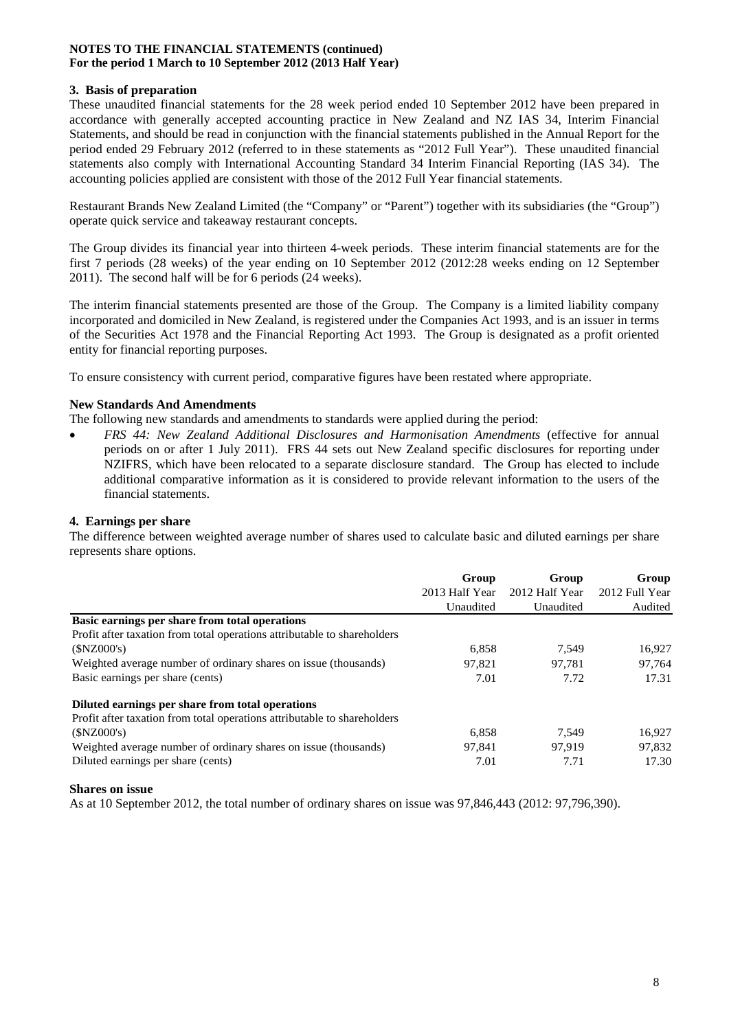#### **NOTES TO THE FINANCIAL STATEMENTS (continued) For the period 1 March to 10 September 2012 (2013 Half Year)**

### **3. Basis of preparation**

These unaudited financial statements for the 28 week period ended 10 September 2012 have been prepared in accordance with generally accepted accounting practice in New Zealand and NZ IAS 34, Interim Financial Statements, and should be read in conjunction with the financial statements published in the Annual Report for the period ended 29 February 2012 (referred to in these statements as "2012 Full Year"). These unaudited financial statements also comply with International Accounting Standard 34 Interim Financial Reporting (IAS 34). The accounting policies applied are consistent with those of the 2012 Full Year financial statements.

Restaurant Brands New Zealand Limited (the "Company" or "Parent") together with its subsidiaries (the "Group") operate quick service and takeaway restaurant concepts.

The Group divides its financial year into thirteen 4-week periods. These interim financial statements are for the first 7 periods (28 weeks) of the year ending on 10 September 2012 (2012:28 weeks ending on 12 September 2011). The second half will be for 6 periods (24 weeks).

The interim financial statements presented are those of the Group. The Company is a limited liability company incorporated and domiciled in New Zealand, is registered under the Companies Act 1993, and is an issuer in terms of the Securities Act 1978 and the Financial Reporting Act 1993. The Group is designated as a profit oriented entity for financial reporting purposes.

To ensure consistency with current period, comparative figures have been restated where appropriate.

### **New Standards And Amendments**

The following new standards and amendments to standards were applied during the period:

• *FRS 44: New Zealand Additional Disclosures and Harmonisation Amendments* (effective for annual periods on or after 1 July 2011). FRS 44 sets out New Zealand specific disclosures for reporting under NZIFRS, which have been relocated to a separate disclosure standard. The Group has elected to include additional comparative information as it is considered to provide relevant information to the users of the financial statements.

### **4. Earnings per share**

The difference between weighted average number of shares used to calculate basic and diluted earnings per share represents share options.

|                                                                          | Group          | Group          | Group          |  |
|--------------------------------------------------------------------------|----------------|----------------|----------------|--|
|                                                                          | 2013 Half Year | 2012 Half Year | 2012 Full Year |  |
|                                                                          | Unaudited      | Unaudited      | Audited        |  |
| Basic earnings per share from total operations                           |                |                |                |  |
| Profit after taxation from total operations attributable to shareholders |                |                |                |  |
| (SNZ000's)                                                               | 6,858          | 7.549          | 16.927         |  |
| Weighted average number of ordinary shares on issue (thousands)          | 97.821         | 97.781         | 97.764         |  |
| Basic earnings per share (cents)                                         | 7.01           | 7.72           | 17.31          |  |
| Diluted earnings per share from total operations                         |                |                |                |  |
| Profit after taxation from total operations attributable to shareholders |                |                |                |  |
| (SNZ000's)                                                               | 6.858          | 7.549          | 16.927         |  |
| Weighted average number of ordinary shares on issue (thousands)          | 97.841         | 97.919         | 97.832         |  |
| Diluted earnings per share (cents)                                       | 7.01           | 7.71           | 17.30          |  |

#### **Shares on issue**

As at 10 September 2012, the total number of ordinary shares on issue was 97,846,443 (2012: 97,796,390).